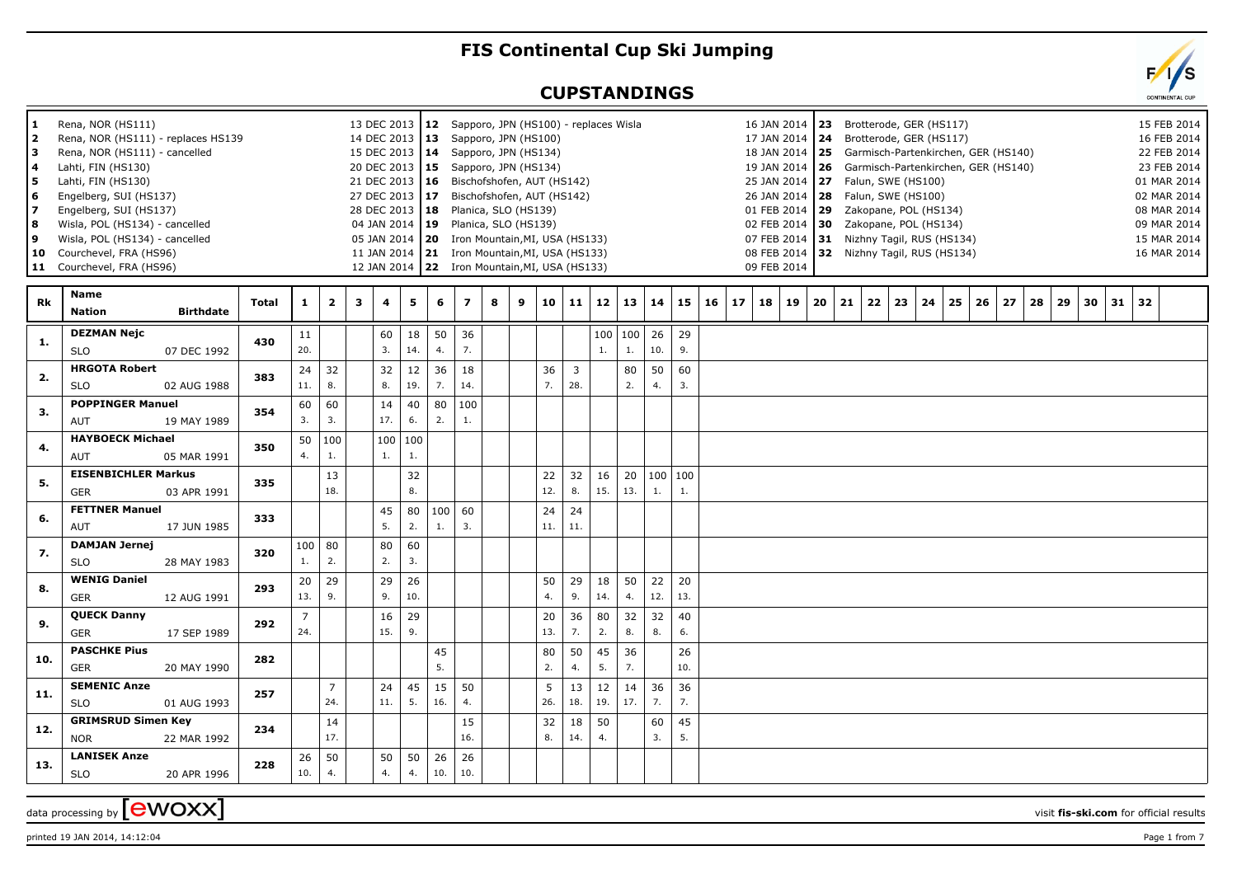## **FIS Continental Cup Ski Jumping**

## **CUPSTANDINGS**



 $\alpha$  data processing by  $\boxed{\text{ewOXX}}$ 

printed 19 JAN 2014, 14:12:04 Page 1 from 7

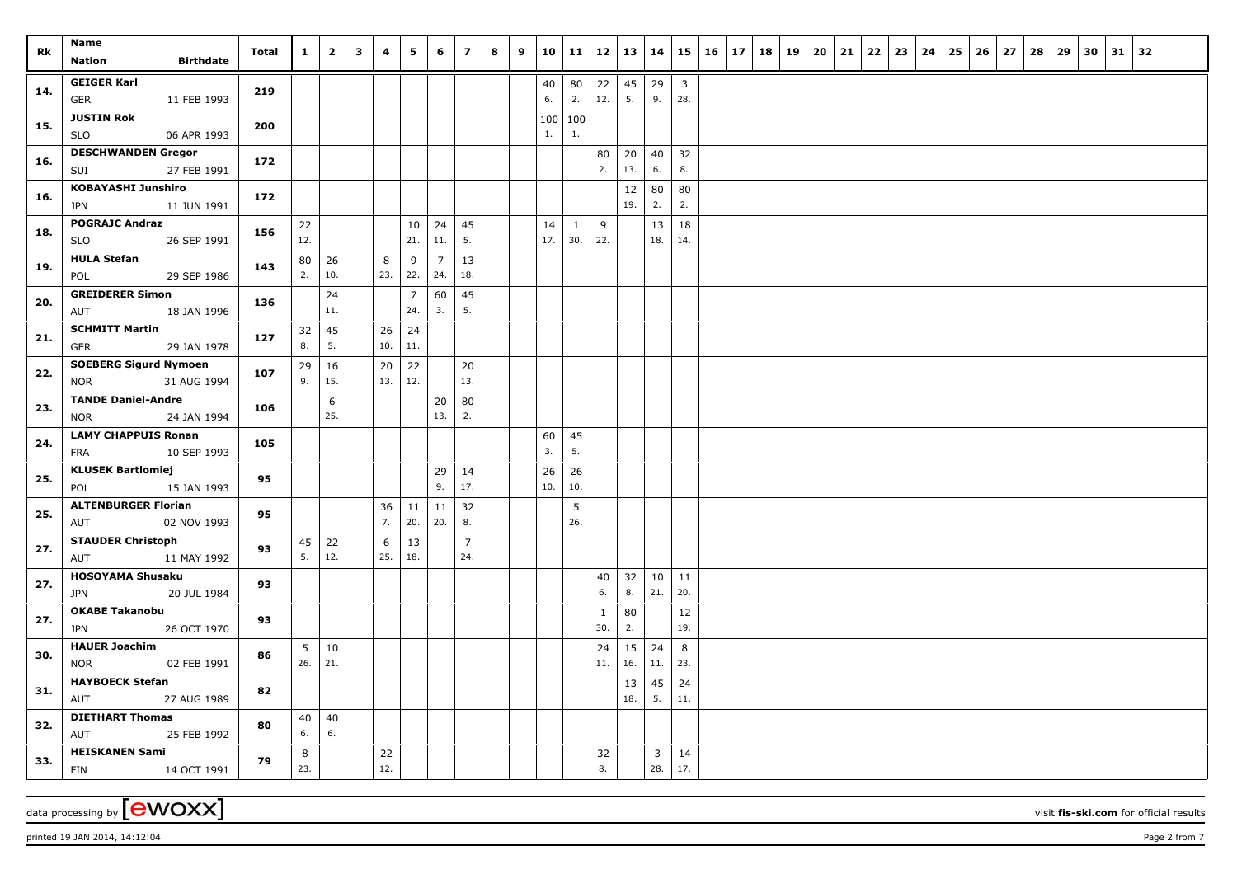| Rk  | Name                               |                  | Total | $\mathbf{1}$ | $\overline{2}$ | $\mathbf{3}$ | 4   | 5              | 6              | $\overline{\mathbf{z}}$ | 8 | 9 | 10 11           |          | 12           | 13        | $\vert$ 14              |                         | $15 \mid 16 \mid 17 \mid 18 \mid 19$ |  | $20 \mid 21$ | 22 | 23 | 24 | 25 | 26 | 27 | 28 | 29 | 30 | $31 \mid 32$ |  |
|-----|------------------------------------|------------------|-------|--------------|----------------|--------------|-----|----------------|----------------|-------------------------|---|---|-----------------|----------|--------------|-----------|-------------------------|-------------------------|--------------------------------------|--|--------------|----|----|----|----|----|----|----|----|----|--------------|--|
|     | Nation                             | <b>Birthdate</b> |       |              |                |              |     |                |                |                         |   |   |                 |          |              |           |                         |                         |                                      |  |              |    |    |    |    |    |    |    |    |    |              |  |
| 14. | <b>GEIGER Karl</b>                 |                  | 219   |              |                |              |     |                |                |                         |   |   | 40              | 80       | 22           | 45        | 29                      | $\overline{\mathbf{3}}$ |                                      |  |              |    |    |    |    |    |    |    |    |    |              |  |
|     | <b>GER</b><br><b>JUSTIN Rok</b>    | 11 FEB 1993      |       |              |                |              |     |                |                |                         |   |   | 6.              | 2.       | 12.          | 5.        | 9.                      | 28.                     |                                      |  |              |    |    |    |    |    |    |    |    |    |              |  |
| 15. | SLO                                | 06 APR 1993      | 200   |              |                |              |     |                |                |                         |   |   | 100 100<br>$1.$ | 1.       |              |           |                         |                         |                                      |  |              |    |    |    |    |    |    |    |    |    |              |  |
|     | <b>DESCHWANDEN Gregor</b>          |                  |       |              |                |              |     |                |                |                         |   |   |                 |          | 80           | 20        | 40                      | 32                      |                                      |  |              |    |    |    |    |    |    |    |    |    |              |  |
| 16. | SUI                                | 27 FEB 1991      | 172   |              |                |              |     |                |                |                         |   |   |                 |          | 2.           | 13.       | 6.                      | 8.                      |                                      |  |              |    |    |    |    |    |    |    |    |    |              |  |
|     | <b>KOBAYASHI Junshiro</b>          |                  | 172   |              |                |              |     |                |                |                         |   |   |                 |          |              | 12        | 80                      | 80                      |                                      |  |              |    |    |    |    |    |    |    |    |    |              |  |
| 16. | JPN                                | 11 JUN 1991      |       |              |                |              |     |                |                |                         |   |   |                 |          |              | 19.       | 2.                      | 2.                      |                                      |  |              |    |    |    |    |    |    |    |    |    |              |  |
| 18. | <b>POGRAJC Andraz</b>              |                  | 156   | 22           |                |              |     | 10             | 24             | 45                      |   |   | 14              | 1        | 9            |           | 13                      | 18                      |                                      |  |              |    |    |    |    |    |    |    |    |    |              |  |
|     | <b>SLO</b>                         | 26 SEP 1991      |       | 12.          |                |              |     | 21.            | 11.            | 5.                      |   |   | 17.             | 30.      | 22.          |           | 18.                     | 14.                     |                                      |  |              |    |    |    |    |    |    |    |    |    |              |  |
| 19. | <b>HULA Stefan</b>                 |                  | 143   | 80           | 26             |              | 8   | 9              | $\overline{7}$ | 13                      |   |   |                 |          |              |           |                         |                         |                                      |  |              |    |    |    |    |    |    |    |    |    |              |  |
|     | POL                                | 29 SEP 1986      |       | 2.           | 10.            |              | 23. | 22.            | 24.            | 18.                     |   |   |                 |          |              |           |                         |                         |                                      |  |              |    |    |    |    |    |    |    |    |    |              |  |
| 20. | <b>GREIDERER Simon</b>             |                  | 136   |              | 24             |              |     | $\overline{7}$ | 60             | 45                      |   |   |                 |          |              |           |                         |                         |                                      |  |              |    |    |    |    |    |    |    |    |    |              |  |
|     | AUT                                | 18 JAN 1996      |       |              | 11.            |              |     | 24.            | 3.             | 5.                      |   |   |                 |          |              |           |                         |                         |                                      |  |              |    |    |    |    |    |    |    |    |    |              |  |
| 21. | <b>SCHMITT Martin</b>              |                  | 127   | 32           | 45             |              | 26  | 24             |                |                         |   |   |                 |          |              |           |                         |                         |                                      |  |              |    |    |    |    |    |    |    |    |    |              |  |
|     | GER                                | 29 JAN 1978      |       | 8.           | 5.             |              | 10. | $11. \,$       |                |                         |   |   |                 |          |              |           |                         |                         |                                      |  |              |    |    |    |    |    |    |    |    |    |              |  |
| 22. | <b>SOEBERG Sigurd Nymoen</b>       |                  | 107   | 29           | 16             |              | 20  | 22             |                | 20                      |   |   |                 |          |              |           |                         |                         |                                      |  |              |    |    |    |    |    |    |    |    |    |              |  |
|     | NOR                                | 31 AUG 1994      |       | 9.           | 15.            |              | 13. | 12.            |                | 13.                     |   |   |                 |          |              |           |                         |                         |                                      |  |              |    |    |    |    |    |    |    |    |    |              |  |
| 23. | <b>TANDE Daniel-Andre</b>          | 24 JAN 1994      | 106   |              | 6<br>25.       |              |     |                | 20<br>13.      | 80<br>2.                |   |   |                 |          |              |           |                         |                         |                                      |  |              |    |    |    |    |    |    |    |    |    |              |  |
|     | NOR<br><b>LAMY CHAPPUIS Ronan</b>  |                  |       |              |                |              |     |                |                |                         |   |   |                 |          |              |           |                         |                         |                                      |  |              |    |    |    |    |    |    |    |    |    |              |  |
| 24. | FRA                                | 10 SEP 1993      | 105   |              |                |              |     |                |                |                         |   |   | 60<br>3.        | 45<br>5. |              |           |                         |                         |                                      |  |              |    |    |    |    |    |    |    |    |    |              |  |
|     | <b>KLUSEK Bartlomiej</b>           |                  |       |              |                |              |     |                | 29             | 14                      |   |   | 26              | 26       |              |           |                         |                         |                                      |  |              |    |    |    |    |    |    |    |    |    |              |  |
| 25. | POL                                | 15 JAN 1993      | 95    |              |                |              |     |                | 9.             | 17.                     |   |   | 10.             | 10.      |              |           |                         |                         |                                      |  |              |    |    |    |    |    |    |    |    |    |              |  |
|     | <b>ALTENBURGER Florian</b>         |                  |       |              |                |              | 36  | 11             | 11             | 32                      |   |   |                 | 5        |              |           |                         |                         |                                      |  |              |    |    |    |    |    |    |    |    |    |              |  |
| 25. | AUT                                | 02 NOV 1993      | 95    |              |                |              | 7.  | 20.            | 20.            | 8.                      |   |   |                 | 26.      |              |           |                         |                         |                                      |  |              |    |    |    |    |    |    |    |    |    |              |  |
| 27. | <b>STAUDER Christoph</b>           |                  | 93    | 45           | 22             |              | 6   | 13             |                | $\overline{7}$          |   |   |                 |          |              |           |                         |                         |                                      |  |              |    |    |    |    |    |    |    |    |    |              |  |
|     | AUT                                | 11 MAY 1992      |       | 5.           | 12.            |              | 25. | 18.            |                | 24.                     |   |   |                 |          |              |           |                         |                         |                                      |  |              |    |    |    |    |    |    |    |    |    |              |  |
| 27. | <b>HOSOYAMA Shusaku</b>            |                  | 93    |              |                |              |     |                |                |                         |   |   |                 |          | 40           | 32        | 10                      | 11                      |                                      |  |              |    |    |    |    |    |    |    |    |    |              |  |
|     | JPN                                | 20 JUL 1984      |       |              |                |              |     |                |                |                         |   |   |                 |          | 6.           | 8.        | 21.                     | 20.                     |                                      |  |              |    |    |    |    |    |    |    |    |    |              |  |
| 27. | <b>OKABE Takanobu</b>              |                  | 93    |              |                |              |     |                |                |                         |   |   |                 |          | $\mathbf{1}$ | 80        |                         | 12<br>19.               |                                      |  |              |    |    |    |    |    |    |    |    |    |              |  |
|     | <b>JPN</b><br><b>HAUER Joachim</b> | 26 OCT 1970      |       |              |                |              |     |                |                |                         |   |   |                 |          | 30.          | 2.        |                         |                         |                                      |  |              |    |    |    |    |    |    |    |    |    |              |  |
| 30. | <b>NOR</b>                         | 02 FEB 1991      | 86    | 5<br>26.     | 10<br>21.      |              |     |                |                |                         |   |   |                 |          | 24<br>11.    | 15<br>16. | 24<br>11.               | 8<br>23.                |                                      |  |              |    |    |    |    |    |    |    |    |    |              |  |
|     | <b>HAYBOECK Stefan</b>             |                  |       |              |                |              |     |                |                |                         |   |   |                 |          |              | 13        | 45                      | 24                      |                                      |  |              |    |    |    |    |    |    |    |    |    |              |  |
| 31. | AUT                                | 27 AUG 1989      | 82    |              |                |              |     |                |                |                         |   |   |                 |          |              | 18.       | 5.                      | 11.                     |                                      |  |              |    |    |    |    |    |    |    |    |    |              |  |
|     | <b>DIETHART Thomas</b>             |                  |       | 40           | 40             |              |     |                |                |                         |   |   |                 |          |              |           |                         |                         |                                      |  |              |    |    |    |    |    |    |    |    |    |              |  |
| 32. | AUT                                | 25 FEB 1992      | 80    | 6.           | 6.             |              |     |                |                |                         |   |   |                 |          |              |           |                         |                         |                                      |  |              |    |    |    |    |    |    |    |    |    |              |  |
|     | <b>HEISKANEN Sami</b>              |                  |       | 8            |                |              | 22  |                |                |                         |   |   |                 |          | 32           |           | $\overline{\mathbf{3}}$ | 14                      |                                      |  |              |    |    |    |    |    |    |    |    |    |              |  |
| 33. | 14 OCT 1991<br>FIN                 |                  | 79    | 23.          |                |              | 12. |                |                |                         |   |   |                 |          | 8.           |           | 28.                     | 17.                     |                                      |  |              |    |    |    |    |    |    |    |    |    |              |  |

data processing by **CWOXX** visit fis-ski.com for official results

printed 19 JAN 2014, 14:12:04 **Page 2** from 7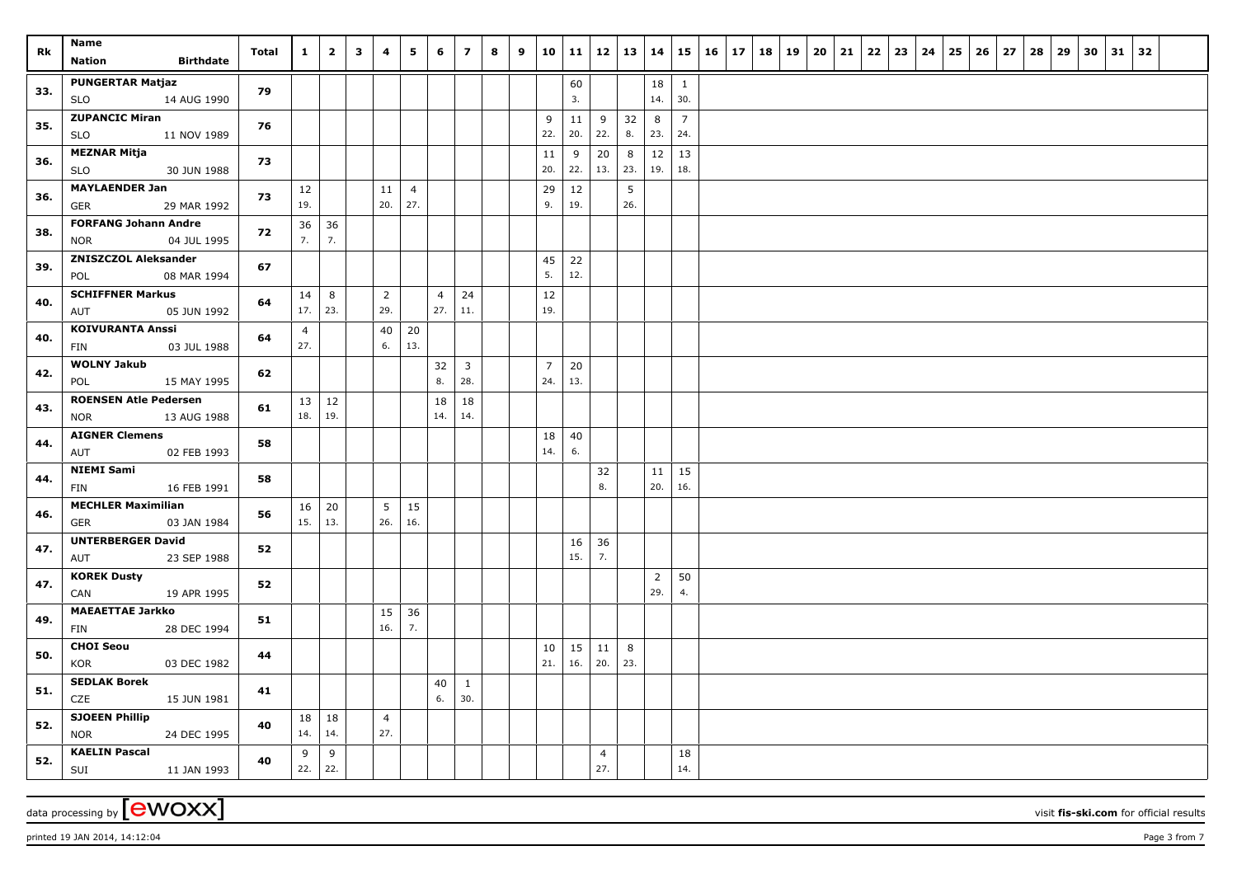| Rk         | Name<br><b>Birthdate</b><br><b>Nation</b>                                | Total    | $\mathbf{1}$          | $\overline{2}$ | $\mathbf{3}$ | 4              | 5                     | 6                     | $\overline{z}$                       | 8 | 9 | 10                    | 11        | 12             | $13 \mid 14$ |                |                       | $15 \mid 16 \mid 17$ | 18   19 |  | $20 \mid 21$ | 22 | 23 | 24 | 25 | 26 | 27 | 28 | 29 | 30 | $31 \mid 32$ |  |
|------------|--------------------------------------------------------------------------|----------|-----------------------|----------------|--------------|----------------|-----------------------|-----------------------|--------------------------------------|---|---|-----------------------|-----------|----------------|--------------|----------------|-----------------------|----------------------|---------|--|--------------|----|----|----|----|----|----|----|----|----|--------------|--|
| 33.        | <b>PUNGERTAR Matjaz</b><br>14 AUG 1990<br><b>SLO</b>                     | 79       |                       |                |              |                |                       |                       |                                      |   |   |                       | 60<br>3.  |                |              | 18<br>14.      | 1<br>30.              |                      |         |  |              |    |    |    |    |    |    |    |    |    |              |  |
| 35.        | <b>ZUPANCIC Miran</b><br><b>SLO</b><br>11 NOV 1989                       | 76       |                       |                |              |                |                       |                       |                                      |   |   | 9<br>22.              | 11<br>20. | 9<br>22.       | 32<br>8.     | 8<br>23.       | $\overline{7}$<br>24. |                      |         |  |              |    |    |    |    |    |    |    |    |    |              |  |
| 36.        | <b>MEZNAR Mitja</b><br>30 JUN 1988<br><b>SLO</b>                         | 73       |                       |                |              |                |                       |                       |                                      |   |   | 11<br>20.             | 9<br>22.  | 20<br>13.      | 8<br>23.     | 12<br>19.      | 13<br>18.             |                      |         |  |              |    |    |    |    |    |    |    |    |    |              |  |
| 36.        | <b>MAYLAENDER Jan</b><br>29 MAR 1992<br>GER                              | 73       | 12<br>19.             |                |              | 11<br>20.      | $\overline{4}$<br>27. |                       |                                      |   |   | 29<br>9.              | 12<br>19. |                | 5<br>26.     |                |                       |                      |         |  |              |    |    |    |    |    |    |    |    |    |              |  |
| 38.        | <b>FORFANG Johann Andre</b><br>04 JUL 1995<br><b>NOR</b>                 | 72       | 36<br>7.              | 36<br>7.       |              |                |                       |                       |                                      |   |   |                       |           |                |              |                |                       |                      |         |  |              |    |    |    |    |    |    |    |    |    |              |  |
| 39.        | <b>ZNISZCZOL Aleksander</b><br>08 MAR 1994<br>POL                        | 67       |                       |                |              |                |                       |                       |                                      |   |   | 45<br>5.              | 22<br>12. |                |              |                |                       |                      |         |  |              |    |    |    |    |    |    |    |    |    |              |  |
| 40.        | <b>SCHIFFNER Markus</b><br>05 JUN 1992<br>AUT                            | 64       | 14<br>17.             | 8<br>23.       |              | 2<br>29.       |                       | $\overline{4}$<br>27. | 24<br>11.                            |   |   | 12<br>19.             |           |                |              |                |                       |                      |         |  |              |    |    |    |    |    |    |    |    |    |              |  |
| 40.        | <b>KOIVURANTA Anssi</b><br>03 JUL 1988<br>FIN                            | 64       | $\overline{4}$<br>27. |                |              | 40<br>6.       | 20<br>13.             |                       |                                      |   |   |                       |           |                |              |                |                       |                      |         |  |              |    |    |    |    |    |    |    |    |    |              |  |
| 42.        | <b>WOLNY Jakub</b><br>POL<br>15 MAY 1995<br><b>ROENSEN Atle Pedersen</b> | 62       |                       |                |              |                |                       | 32<br>8.<br>18        | $\overline{\mathbf{3}}$<br>28.<br>18 |   |   | $\overline{7}$<br>24. | 20<br>13. |                |              |                |                       |                      |         |  |              |    |    |    |    |    |    |    |    |    |              |  |
| 43.        | <b>NOR</b><br>13 AUG 1988<br><b>AIGNER Clemens</b>                       | 61       | 13<br>18.             | 12<br>19.      |              |                |                       | 14.                   | 14.                                  |   |   | 18                    | 40        |                |              |                |                       |                      |         |  |              |    |    |    |    |    |    |    |    |    |              |  |
| 44.        | AUT<br>02 FEB 1993<br><b>NIEMI Sami</b>                                  | 58       |                       |                |              |                |                       |                       |                                      |   |   | 14.                   | 6.        | 32             |              | 11             | 15                    |                      |         |  |              |    |    |    |    |    |    |    |    |    |              |  |
| 44.        | 16 FEB 1991<br>FIN<br><b>MECHLER Maximilian</b>                          | 58       | 16                    | 20             |              | 5              | 15                    |                       |                                      |   |   |                       |           | 8.             |              | 20.            | 16.                   |                      |         |  |              |    |    |    |    |    |    |    |    |    |              |  |
| 46.        | 03 JAN 1984<br>GER<br><b>UNTERBERGER David</b>                           | 56       | 15.                   | 13.            |              | 26.            | 16.                   |                       |                                      |   |   |                       | 16        | 36             |              |                |                       |                      |         |  |              |    |    |    |    |    |    |    |    |    |              |  |
| 47.        | 23 SEP 1988<br>AUT<br><b>KOREK Dusty</b>                                 | 52       |                       |                |              |                |                       |                       |                                      |   |   |                       | 15.       | 7.             |              | $\overline{2}$ | 50                    |                      |         |  |              |    |    |    |    |    |    |    |    |    |              |  |
| 47.        | 19 APR 1995<br>CAN<br><b>MAEAETTAE Jarkko</b>                            | 52       |                       |                |              | 15             | 36                    |                       |                                      |   |   |                       |           |                |              | 29.            | 4.                    |                      |         |  |              |    |    |    |    |    |    |    |    |    |              |  |
| 49.        | 28 DEC 1994<br><b>FIN</b><br><b>CHOI Seou</b>                            | 51       |                       |                |              | 16.            | 7.                    |                       |                                      |   |   | 10                    | 15        | 11             | 8            |                |                       |                      |         |  |              |    |    |    |    |    |    |    |    |    |              |  |
| 50.        | KOR<br>03 DEC 1982<br><b>SEDLAK Borek</b>                                | 44       |                       |                |              |                |                       | 40                    | 1                                    |   |   | 21.                   | 16.       | 20.            | 23.          |                |                       |                      |         |  |              |    |    |    |    |    |    |    |    |    |              |  |
| 51.        | CZE<br>15 JUN 1981<br><b>SJOEEN Phillip</b>                              | 41<br>40 | 18                    | 18             |              | $\overline{4}$ |                       | 6.                    | 30.                                  |   |   |                       |           |                |              |                |                       |                      |         |  |              |    |    |    |    |    |    |    |    |    |              |  |
| 52.<br>52. | <b>NOR</b><br>24 DEC 1995<br><b>KAELIN Pascal</b>                        | 40       | 14.<br>9              | 14.<br>9       |              | 27.            |                       |                       |                                      |   |   |                       |           | $\overline{4}$ |              |                | 18                    |                      |         |  |              |    |    |    |    |    |    |    |    |    |              |  |
|            | 11 JAN 1993<br>SUI                                                       |          | 22.                   | 22.            |              |                |                       |                       |                                      |   |   |                       |           | 27.            |              |                | 14.                   |                      |         |  |              |    |    |    |    |    |    |    |    |    |              |  |

printed 19 JAN 2014, 14:12:04 **Page 3** from 7

data processing by **CWOXX** visit fis-ski.com for official results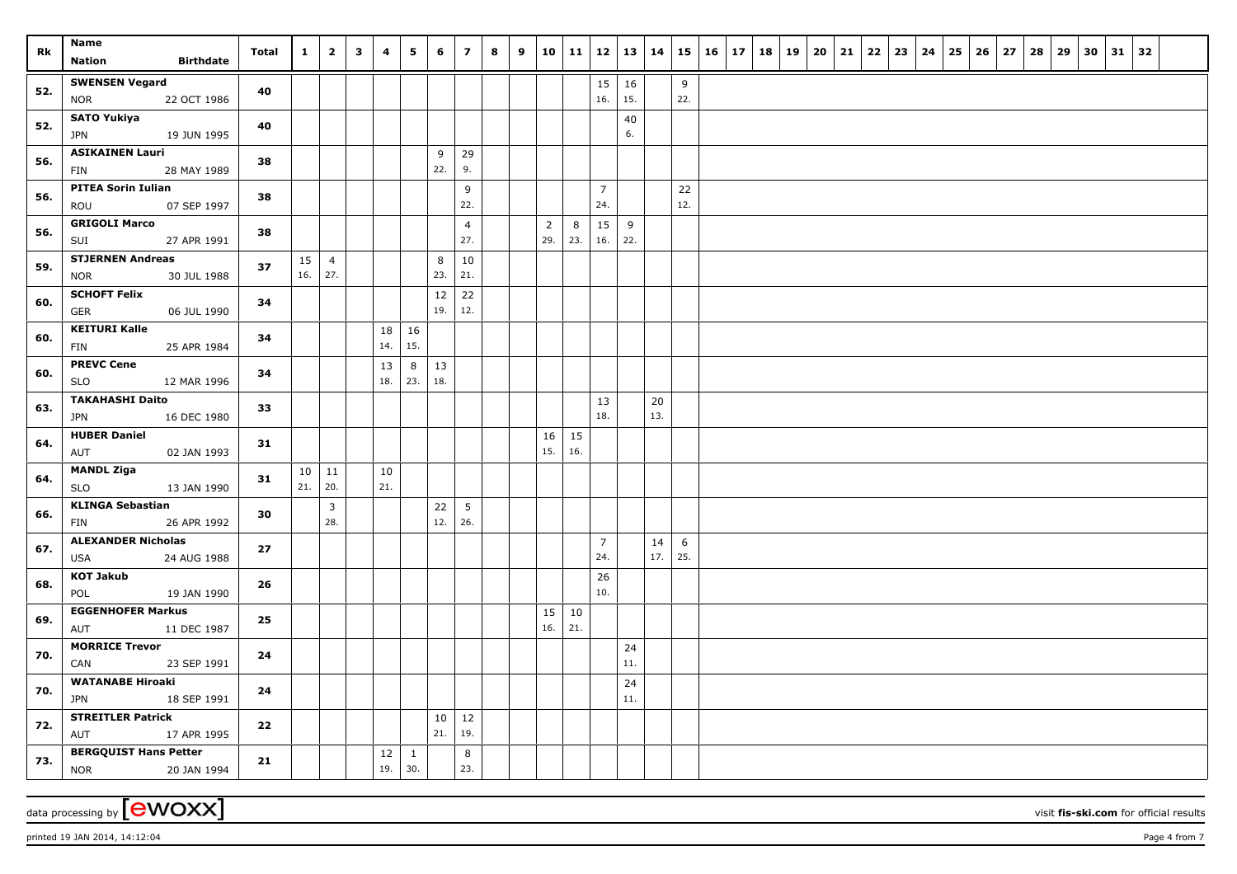| Rk  | Name                                          | Total | $\mathbf{1}$ | $\overline{2}$        | $\mathbf{3}$ | 4   | 5            | 6         | $\overline{z}$ | 8 | 9 | 10             | $\vert$ 11 | 12             | 13        | $\vert$ 14 |     | $15 \mid 16 \mid 17$ | 18   19 |  | $20 \mid 21$ | 22 | 23 | 24 | 25 | 26 | 27 | 28 | 29 | 30 | $31 \mid 32$ |  |
|-----|-----------------------------------------------|-------|--------------|-----------------------|--------------|-----|--------------|-----------|----------------|---|---|----------------|------------|----------------|-----------|------------|-----|----------------------|---------|--|--------------|----|----|----|----|----|----|----|----|----|--------------|--|
|     | <b>Birthdate</b><br><b>Nation</b>             |       |              |                       |              |     |              |           |                |   |   |                |            |                |           |            |     |                      |         |  |              |    |    |    |    |    |    |    |    |    |              |  |
| 52. | <b>SWENSEN Vegard</b>                         | 40    |              |                       |              |     |              |           |                |   |   |                |            | 15             | 16        |            | 9   |                      |         |  |              |    |    |    |    |    |    |    |    |    |              |  |
|     | <b>NOR</b><br>22 OCT 1986                     |       |              |                       |              |     |              |           |                |   |   |                |            | 16.            | 15.       |            | 22. |                      |         |  |              |    |    |    |    |    |    |    |    |    |              |  |
| 52. | <b>SATO Yukiya</b>                            | 40    |              |                       |              |     |              |           |                |   |   |                |            |                | 40        |            |     |                      |         |  |              |    |    |    |    |    |    |    |    |    |              |  |
|     | JPN<br>19 JUN 1995                            |       |              |                       |              |     |              |           |                |   |   |                |            |                | 6.        |            |     |                      |         |  |              |    |    |    |    |    |    |    |    |    |              |  |
| 56. | <b>ASIKAINEN Lauri</b>                        | 38    |              |                       |              |     |              | 9         | 29             |   |   |                |            |                |           |            |     |                      |         |  |              |    |    |    |    |    |    |    |    |    |              |  |
|     | 28 MAY 1989<br>FIN                            |       |              |                       |              |     |              | 22.       | 9.             |   |   |                |            |                |           |            |     |                      |         |  |              |    |    |    |    |    |    |    |    |    |              |  |
| 56. | <b>PITEA Sorin Iulian</b>                     | 38    |              |                       |              |     |              |           | 9              |   |   |                |            | $\overline{7}$ |           |            | 22  |                      |         |  |              |    |    |    |    |    |    |    |    |    |              |  |
|     | ROU<br>07 SEP 1997                            |       |              |                       |              |     |              |           | 22.            |   |   |                |            | 24.            |           |            | 12. |                      |         |  |              |    |    |    |    |    |    |    |    |    |              |  |
| 56. | <b>GRIGOLI Marco</b>                          | 38    |              |                       |              |     |              |           | $\overline{4}$ |   |   | $\overline{2}$ | 8          | 15             | 9         |            |     |                      |         |  |              |    |    |    |    |    |    |    |    |    |              |  |
|     | SUI<br>27 APR 1991                            |       |              |                       |              |     |              |           | 27.            |   |   | 29.            | 23.        | 16.            | 22.       |            |     |                      |         |  |              |    |    |    |    |    |    |    |    |    |              |  |
| 59. | <b>STJERNEN Andreas</b>                       | 37    | 15<br>16.    | $\overline{4}$<br>27. |              |     |              | 8<br>23.  | 10<br>21.      |   |   |                |            |                |           |            |     |                      |         |  |              |    |    |    |    |    |    |    |    |    |              |  |
|     | 30 JUL 1988<br><b>NOR</b>                     |       |              |                       |              |     |              |           |                |   |   |                |            |                |           |            |     |                      |         |  |              |    |    |    |    |    |    |    |    |    |              |  |
| 60. | <b>SCHOFT Felix</b><br>06 JUL 1990            | 34    |              |                       |              |     |              | 12<br>19. | 22<br>12.      |   |   |                |            |                |           |            |     |                      |         |  |              |    |    |    |    |    |    |    |    |    |              |  |
|     | <b>GER</b><br><b>KEITURI Kalle</b>            |       |              |                       |              | 18  |              |           |                |   |   |                |            |                |           |            |     |                      |         |  |              |    |    |    |    |    |    |    |    |    |              |  |
| 60. | 25 APR 1984<br>FIN                            | 34    |              |                       |              | 14. | 16<br>15.    |           |                |   |   |                |            |                |           |            |     |                      |         |  |              |    |    |    |    |    |    |    |    |    |              |  |
|     | <b>PREVC Cene</b>                             |       |              |                       |              | 13  | 8            | 13        |                |   |   |                |            |                |           |            |     |                      |         |  |              |    |    |    |    |    |    |    |    |    |              |  |
| 60. | <b>SLO</b><br>12 MAR 1996                     | 34    |              |                       |              | 18. | 23.          | 18.       |                |   |   |                |            |                |           |            |     |                      |         |  |              |    |    |    |    |    |    |    |    |    |              |  |
|     | <b>TAKAHASHI Daito</b>                        |       |              |                       |              |     |              |           |                |   |   |                |            | 13             |           | 20         |     |                      |         |  |              |    |    |    |    |    |    |    |    |    |              |  |
| 63. | <b>JPN</b><br>16 DEC 1980                     | 33    |              |                       |              |     |              |           |                |   |   |                |            | 18.            |           | 13.        |     |                      |         |  |              |    |    |    |    |    |    |    |    |    |              |  |
|     | <b>HUBER Daniel</b>                           |       |              |                       |              |     |              |           |                |   |   | 16             | 15         |                |           |            |     |                      |         |  |              |    |    |    |    |    |    |    |    |    |              |  |
| 64. | 02 JAN 1993<br>AUT                            | 31    |              |                       |              |     |              |           |                |   |   | 15.            | 16.        |                |           |            |     |                      |         |  |              |    |    |    |    |    |    |    |    |    |              |  |
|     | <b>MANDL Ziga</b>                             | 31    | 10           | 11                    |              | 10  |              |           |                |   |   |                |            |                |           |            |     |                      |         |  |              |    |    |    |    |    |    |    |    |    |              |  |
| 64. | 13 JAN 1990<br><b>SLO</b>                     |       | 21.          | 20.                   |              | 21. |              |           |                |   |   |                |            |                |           |            |     |                      |         |  |              |    |    |    |    |    |    |    |    |    |              |  |
| 66. | <b>KLINGA Sebastian</b>                       | 30    |              | $\overline{3}$        |              |     |              | 22        | 5              |   |   |                |            |                |           |            |     |                      |         |  |              |    |    |    |    |    |    |    |    |    |              |  |
|     | 26 APR 1992<br>FIN                            |       |              | 28.                   |              |     |              | 12.       | 26.            |   |   |                |            |                |           |            |     |                      |         |  |              |    |    |    |    |    |    |    |    |    |              |  |
| 67. | <b>ALEXANDER Nicholas</b>                     | 27    |              |                       |              |     |              |           |                |   |   |                |            | $\overline{7}$ |           | 14         | 6   |                      |         |  |              |    |    |    |    |    |    |    |    |    |              |  |
|     | 24 AUG 1988<br><b>USA</b>                     |       |              |                       |              |     |              |           |                |   |   |                |            | 24.            |           | 17.        | 25. |                      |         |  |              |    |    |    |    |    |    |    |    |    |              |  |
| 68. | <b>KOT Jakub</b>                              | 26    |              |                       |              |     |              |           |                |   |   |                |            | 26             |           |            |     |                      |         |  |              |    |    |    |    |    |    |    |    |    |              |  |
|     | POL<br>19 JAN 1990                            |       |              |                       |              |     |              |           |                |   |   |                |            | 10.            |           |            |     |                      |         |  |              |    |    |    |    |    |    |    |    |    |              |  |
| 69. | <b>EGGENHOFER Markus</b>                      | 25    |              |                       |              |     |              |           |                |   |   | 15             | 10         |                |           |            |     |                      |         |  |              |    |    |    |    |    |    |    |    |    |              |  |
|     | 11 DEC 1987<br>AUT                            |       |              |                       |              |     |              |           |                |   |   | 16.            | 21.        |                |           |            |     |                      |         |  |              |    |    |    |    |    |    |    |    |    |              |  |
| 70. | <b>MORRICE Trevor</b>                         | 24    |              |                       |              |     |              |           |                |   |   |                |            |                | 24<br>11. |            |     |                      |         |  |              |    |    |    |    |    |    |    |    |    |              |  |
|     | 23 SEP 1991<br>CAN<br><b>WATANABE Hiroaki</b> |       |              |                       |              |     |              |           |                |   |   |                |            |                |           |            |     |                      |         |  |              |    |    |    |    |    |    |    |    |    |              |  |
| 70. | <b>JPN</b><br>18 SEP 1991                     | 24    |              |                       |              |     |              |           |                |   |   |                |            |                | 24<br>11. |            |     |                      |         |  |              |    |    |    |    |    |    |    |    |    |              |  |
|     | <b>STREITLER Patrick</b>                      |       |              |                       |              |     |              | 10        | 12             |   |   |                |            |                |           |            |     |                      |         |  |              |    |    |    |    |    |    |    |    |    |              |  |
| 72. | AUT<br>17 APR 1995                            | 22    |              |                       |              |     |              | 21.       | 19.            |   |   |                |            |                |           |            |     |                      |         |  |              |    |    |    |    |    |    |    |    |    |              |  |
|     | <b>BERGQUIST Hans Petter</b>                  |       |              |                       |              | 12  | $\mathbf{1}$ |           | 8              |   |   |                |            |                |           |            |     |                      |         |  |              |    |    |    |    |    |    |    |    |    |              |  |
| 73. | <b>NOR</b><br>20 JAN 1994                     | 21    |              |                       |              | 19. | 30.          |           | 23.            |   |   |                |            |                |           |            |     |                      |         |  |              |    |    |    |    |    |    |    |    |    |              |  |

data processing by **CWOXX** visit fis-ski.com for official results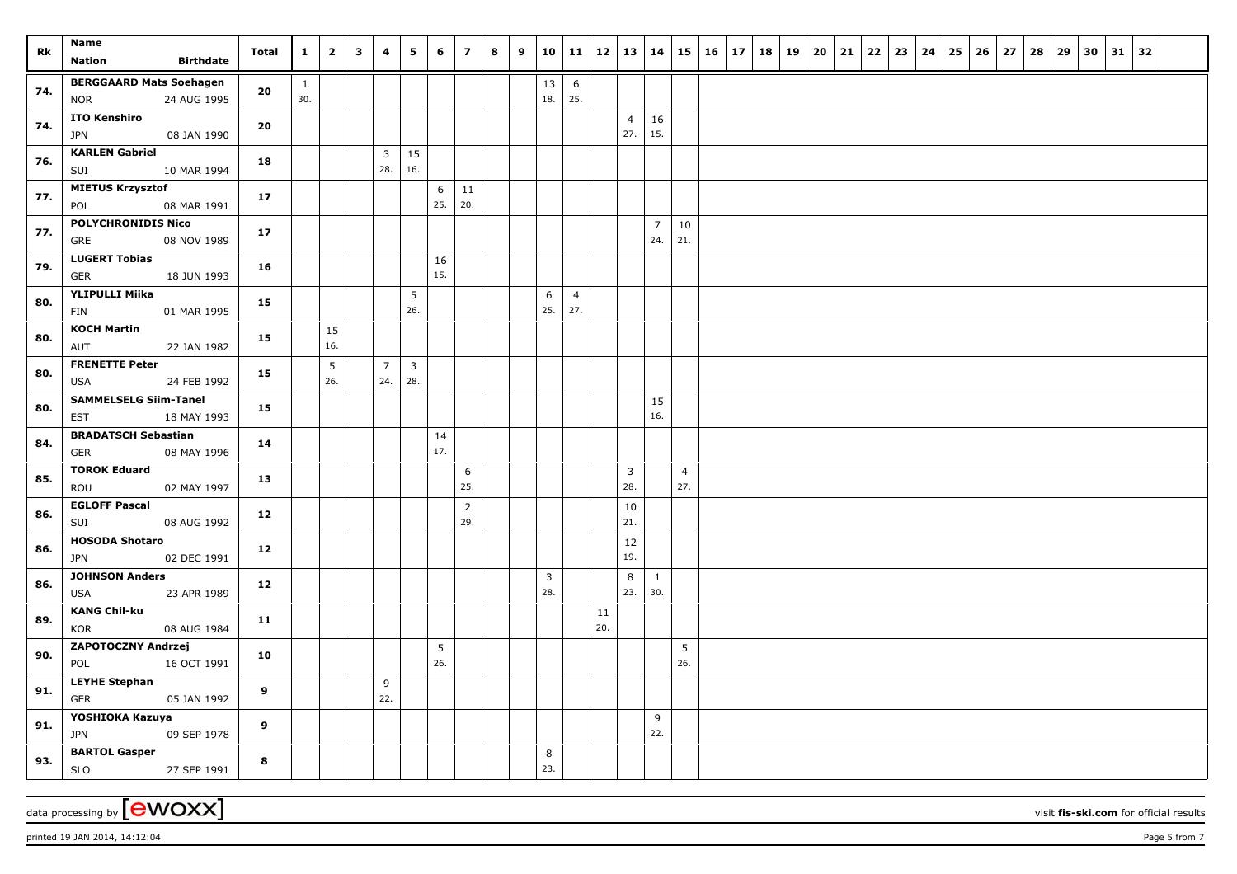| Rk  | Name<br><b>Birthdate</b><br><b>Nation</b>                         | Total | $\mathbf{1}$        | $\overline{\mathbf{2}}$ | $\mathbf{3}$ | $\overline{\mathbf{4}}$ | 5                     | 6                  | $\overline{z}$        | 8 | 9 | 10             | 11                    | 12  | $13 \mid 14$          |                       |                       | $15 \mid 16$ | $17 \mid 18 \mid 19$ |  | $20 \mid 21$ | 22 | 23 | 24 | 25 | 26 | 27 | 28 | 29 | 30 | $31 \mid 32$ |  |
|-----|-------------------------------------------------------------------|-------|---------------------|-------------------------|--------------|-------------------------|-----------------------|--------------------|-----------------------|---|---|----------------|-----------------------|-----|-----------------------|-----------------------|-----------------------|--------------|----------------------|--|--------------|----|----|----|----|----|----|----|----|----|--------------|--|
| 74. | <b>BERGGAARD Mats Soehagen</b><br>24 AUG 1995<br><b>NOR</b>       | 20    | $\mathbf{1}$<br>30. |                         |              |                         |                       |                    |                       |   |   | 13<br>18.      | 6<br>25.              |     |                       |                       |                       |              |                      |  |              |    |    |    |    |    |    |    |    |    |              |  |
| 74. | <b>ITO Kenshiro</b><br>08 JAN 1990<br>JPN                         | 20    |                     |                         |              |                         |                       |                    |                       |   |   |                |                       |     | $\overline{4}$<br>27. | 16<br>15.             |                       |              |                      |  |              |    |    |    |    |    |    |    |    |    |              |  |
| 76. | <b>KARLEN Gabriel</b><br>10 MAR 1994<br>SUI                       | 18    |                     |                         |              | $\overline{3}$<br>28.   | 15<br>16.             |                    |                       |   |   |                |                       |     |                       |                       |                       |              |                      |  |              |    |    |    |    |    |    |    |    |    |              |  |
| 77. | <b>MIETUS Krzysztof</b><br>POL<br>08 MAR 1991                     | 17    |                     |                         |              |                         |                       | $\,$ 6 $\,$<br>25. | 11<br>20.             |   |   |                |                       |     |                       |                       |                       |              |                      |  |              |    |    |    |    |    |    |    |    |    |              |  |
| 77. | <b>POLYCHRONIDIS Nico</b><br>08 NOV 1989<br>GRE                   | 17    |                     |                         |              |                         |                       |                    |                       |   |   |                |                       |     |                       | $\overline{7}$<br>24. | 10<br>21.             |              |                      |  |              |    |    |    |    |    |    |    |    |    |              |  |
| 79. | <b>LUGERT Tobias</b><br>GER<br>18 JUN 1993                        | 16    |                     |                         |              |                         |                       | 16<br>15.          |                       |   |   |                |                       |     |                       |                       |                       |              |                      |  |              |    |    |    |    |    |    |    |    |    |              |  |
| 80. | <b>YLIPULLI Miika</b><br>FIN<br>01 MAR 1995                       | 15    |                     |                         |              |                         | 5<br>26.              |                    |                       |   |   | 6<br>25.       | $\overline{4}$<br>27. |     |                       |                       |                       |              |                      |  |              |    |    |    |    |    |    |    |    |    |              |  |
| 80. | <b>KOCH Martin</b><br>22 JAN 1982<br>AUT                          | 15    |                     | 15<br>16.               |              |                         |                       |                    |                       |   |   |                |                       |     |                       |                       |                       |              |                      |  |              |    |    |    |    |    |    |    |    |    |              |  |
| 80. | <b>FRENETTE Peter</b><br>24 FEB 1992<br>USA                       | 15    |                     | 5<br>26.                |              | $\overline{7}$<br>24.   | $\overline{3}$<br>28. |                    |                       |   |   |                |                       |     |                       |                       |                       |              |                      |  |              |    |    |    |    |    |    |    |    |    |              |  |
| 80. | <b>SAMMELSELG Siim-Tanel</b><br>EST<br>18 MAY 1993                | 15    |                     |                         |              |                         |                       |                    |                       |   |   |                |                       |     |                       | 15<br>16.             |                       |              |                      |  |              |    |    |    |    |    |    |    |    |    |              |  |
| 84. | <b>BRADATSCH Sebastian</b><br><b>GER</b><br>08 MAY 1996           | 14    |                     |                         |              |                         |                       | 14<br>17.          |                       |   |   |                |                       |     |                       |                       |                       |              |                      |  |              |    |    |    |    |    |    |    |    |    |              |  |
| 85. | <b>TOROK Eduard</b><br>ROU<br>02 MAY 1997<br><b>EGLOFF Pascal</b> | 13    |                     |                         |              |                         |                       |                    | 6<br>25.              |   |   |                |                       |     | 3<br>28.              |                       | $\overline{4}$<br>27. |              |                      |  |              |    |    |    |    |    |    |    |    |    |              |  |
| 86. | 08 AUG 1992<br>SUI<br><b>HOSODA Shotaro</b>                       | 12    |                     |                         |              |                         |                       |                    | $\overline{2}$<br>29. |   |   |                |                       |     | 10<br>21.<br>12       |                       |                       |              |                      |  |              |    |    |    |    |    |    |    |    |    |              |  |
| 86. | <b>JPN</b><br>02 DEC 1991<br><b>JOHNSON Anders</b>                | 12    |                     |                         |              |                         |                       |                    |                       |   |   | $\overline{3}$ |                       |     | 19.<br>8              | $\mathbf{1}$          |                       |              |                      |  |              |    |    |    |    |    |    |    |    |    |              |  |
| 86. | 23 APR 1989<br>USA<br><b>KANG Chil-ku</b>                         | 12    |                     |                         |              |                         |                       |                    |                       |   |   | 28.            |                       | 11  | 23.                   | 30.                   |                       |              |                      |  |              |    |    |    |    |    |    |    |    |    |              |  |
| 89. | 08 AUG 1984<br>KOR<br>ZAPOTOCZNY Andrzej                          | 11    |                     |                         |              |                         |                       | 5                  |                       |   |   |                |                       | 20. |                       |                       | 5                     |              |                      |  |              |    |    |    |    |    |    |    |    |    |              |  |
| 90. | 16 OCT 1991<br>POL<br><b>LEYHE Stephan</b>                        | 10    |                     |                         |              | 9                       |                       | 26.                |                       |   |   |                |                       |     |                       |                       | 26.                   |              |                      |  |              |    |    |    |    |    |    |    |    |    |              |  |
| 91. | <b>GER</b><br>05 JAN 1992<br>YOSHIOKA Kazuya                      | 9     |                     |                         |              | 22.                     |                       |                    |                       |   |   |                |                       |     |                       | 9                     |                       |              |                      |  |              |    |    |    |    |    |    |    |    |    |              |  |
| 91. | <b>JPN</b><br>09 SEP 1978<br><b>BARTOL Gasper</b>                 | 9     |                     |                         |              |                         |                       |                    |                       |   |   | 8              |                       |     |                       | 22.                   |                       |              |                      |  |              |    |    |    |    |    |    |    |    |    |              |  |
| 93. | <b>SLO</b><br>27 SEP 1991                                         | 8     |                     |                         |              |                         |                       |                    |                       |   |   | 23.            |                       |     |                       |                       |                       |              |                      |  |              |    |    |    |    |    |    |    |    |    |              |  |

 $p$ rinted 19 JAN 2014, 14:12:04  $p$ age 5 from 7

data processing by **CWOXX** visit fis-ski.com for official results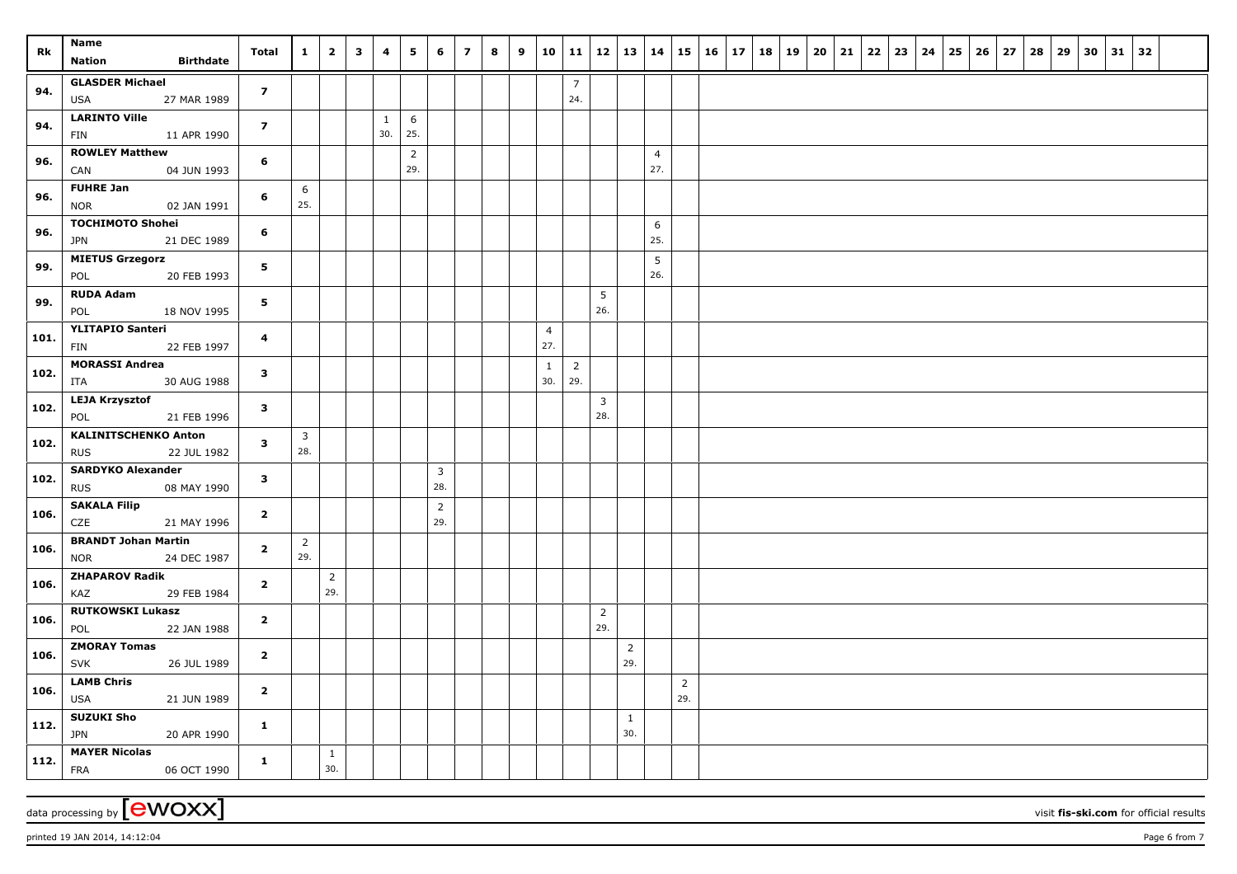| Rk   | Name<br><b>Nation</b><br><b>Birthdate</b>                                            | Total          | $\mathbf{1}$          | $\overline{\mathbf{2}}$ | $\mathbf{3}$ | 4                   | 5                     | 6                          | $\overline{z}$ | 8 | 9 |                       | $10 \mid 11 \mid 12$  |                     | $\vert$ 13 $\vert$ 14 |                       |                       | 15   16   17   18   19   20   21 |  |  | 22 | 23 | 24   25   26   27 |  | 28 | 29 | 30 | $31 \mid 32$ |  |
|------|--------------------------------------------------------------------------------------|----------------|-----------------------|-------------------------|--------------|---------------------|-----------------------|----------------------------|----------------|---|---|-----------------------|-----------------------|---------------------|-----------------------|-----------------------|-----------------------|----------------------------------|--|--|----|----|-------------------|--|----|----|----|--------------|--|
| 94.  | <b>GLASDER Michael</b><br><b>USA</b><br>27 MAR 1989                                  | $\overline{z}$ |                       |                         |              |                     |                       |                            |                |   |   |                       | $\overline{7}$<br>24. |                     |                       |                       |                       |                                  |  |  |    |    |                   |  |    |    |    |              |  |
| 94.  | <b>LARINTO Ville</b><br>11 APR 1990<br>FIN                                           | $\overline{z}$ |                       |                         |              | $\mathbf{1}$<br>30. | 6<br>25.              |                            |                |   |   |                       |                       |                     |                       |                       |                       |                                  |  |  |    |    |                   |  |    |    |    |              |  |
| 96.  | <b>ROWLEY Matthew</b><br>04 JUN 1993<br>CAN                                          | 6              |                       |                         |              |                     | $\overline{2}$<br>29. |                            |                |   |   |                       |                       |                     |                       | $\overline{4}$<br>27. |                       |                                  |  |  |    |    |                   |  |    |    |    |              |  |
| 96.  | <b>FUHRE Jan</b><br><b>NOR</b><br>02 JAN 1991                                        | 6              | 6<br>25.              |                         |              |                     |                       |                            |                |   |   |                       |                       |                     |                       |                       |                       |                                  |  |  |    |    |                   |  |    |    |    |              |  |
| 96.  | <b>TOCHIMOTO Shohei</b><br><b>JPN</b><br>21 DEC 1989                                 | 6              |                       |                         |              |                     |                       |                            |                |   |   |                       |                       |                     |                       | 6<br>25.              |                       |                                  |  |  |    |    |                   |  |    |    |    |              |  |
| 99.  | <b>MIETUS Grzegorz</b><br>POL<br>20 FEB 1993                                         | 5              |                       |                         |              |                     |                       |                            |                |   |   |                       |                       |                     |                       | $\overline{5}$<br>26. |                       |                                  |  |  |    |    |                   |  |    |    |    |              |  |
| 99.  | <b>RUDA Adam</b><br>POL<br>18 NOV 1995                                               | 5              |                       |                         |              |                     |                       |                            |                |   |   |                       |                       | 5<br>26.            |                       |                       |                       |                                  |  |  |    |    |                   |  |    |    |    |              |  |
| 101. | <b>YLITAPIO Santeri</b><br>22 FEB 1997<br>FIN                                        | 4              |                       |                         |              |                     |                       |                            |                |   |   | $\overline{4}$<br>27. |                       |                     |                       |                       |                       |                                  |  |  |    |    |                   |  |    |    |    |              |  |
| 102. | <b>MORASSI Andrea</b><br>ITA<br>30 AUG 1988                                          | $\mathbf{3}$   |                       |                         |              |                     |                       |                            |                |   |   | $\mathbf{1}$<br>30.   | $\overline{2}$<br>29. |                     |                       |                       |                       |                                  |  |  |    |    |                   |  |    |    |    |              |  |
| 102. | <b>LEJA Krzysztof</b><br>POL<br>21 FEB 1996                                          | $\mathbf{3}$   |                       |                         |              |                     |                       |                            |                |   |   |                       |                       | $\mathbf{3}$<br>28. |                       |                       |                       |                                  |  |  |    |    |                   |  |    |    |    |              |  |
| 102. | <b>KALINITSCHENKO Anton</b><br><b>RUS</b><br>22 JUL 1982<br><b>SARDYKO Alexander</b> | $\mathbf{3}$   | $\overline{3}$<br>28. |                         |              |                     |                       |                            |                |   |   |                       |                       |                     |                       |                       |                       |                                  |  |  |    |    |                   |  |    |    |    |              |  |
| 102. | 08 MAY 1990<br><b>RUS</b><br><b>SAKALA Filip</b>                                     | $\mathbf{3}$   |                       |                         |              |                     |                       | 3<br>28.<br>$\overline{2}$ |                |   |   |                       |                       |                     |                       |                       |                       |                                  |  |  |    |    |                   |  |    |    |    |              |  |
| 106. | CZE<br>21 MAY 1996<br><b>BRANDT Johan Martin</b>                                     | $\overline{2}$ |                       |                         |              |                     |                       | 29.                        |                |   |   |                       |                       |                     |                       |                       |                       |                                  |  |  |    |    |                   |  |    |    |    |              |  |
| 106. | <b>NOR</b><br>24 DEC 1987<br><b>ZHAPAROV Radik</b>                                   | $\overline{2}$ | $\overline{2}$<br>29. | $\overline{2}$          |              |                     |                       |                            |                |   |   |                       |                       |                     |                       |                       |                       |                                  |  |  |    |    |                   |  |    |    |    |              |  |
| 106. | KAZ<br>29 FEB 1984<br><b>RUTKOWSKI Lukasz</b>                                        | $\overline{2}$ |                       | 29.                     |              |                     |                       |                            |                |   |   |                       |                       | $\overline{2}$      |                       |                       |                       |                                  |  |  |    |    |                   |  |    |    |    |              |  |
| 106. | 22 JAN 1988<br>POL<br><b>ZMORAY Tomas</b>                                            | $\overline{2}$ |                       |                         |              |                     |                       |                            |                |   |   |                       |                       | 29.                 | $\overline{2}$        |                       |                       |                                  |  |  |    |    |                   |  |    |    |    |              |  |
| 106. | <b>SVK</b><br>26 JUL 1989<br><b>LAMB Chris</b>                                       | $\overline{2}$ |                       |                         |              |                     |                       |                            |                |   |   |                       |                       |                     | 29.                   |                       |                       |                                  |  |  |    |    |                   |  |    |    |    |              |  |
| 106. | <b>USA</b><br>21 JUN 1989<br><b>SUZUKI Sho</b>                                       | $\overline{2}$ |                       |                         |              |                     |                       |                            |                |   |   |                       |                       |                     |                       |                       | $\overline{2}$<br>29. |                                  |  |  |    |    |                   |  |    |    |    |              |  |
| 112. | <b>JPN</b><br>20 APR 1990                                                            | $\mathbf{1}$   |                       |                         |              |                     |                       |                            |                |   |   |                       |                       |                     | $\mathbf{1}$<br>30.   |                       |                       |                                  |  |  |    |    |                   |  |    |    |    |              |  |
| 112. | <b>MAYER Nicolas</b><br><b>FRA</b><br>06 OCT 1990                                    | $\mathbf{1}$   |                       | $\mathbf{1}$<br>30.     |              |                     |                       |                            |                |   |   |                       |                       |                     |                       |                       |                       |                                  |  |  |    |    |                   |  |    |    |    |              |  |

data processing by **CWOXX** visit fis-ski.com for official results

printed 19 JAN 2014, 14:12:04 **Page 6** from 7